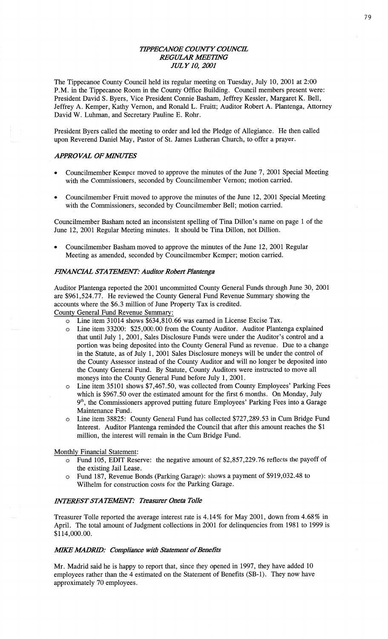## *TH'PECANOE COUNTY COWCE REGULAR WETHVG JULY* 10, *2001*

The Tippecanoe County Council held its regular meeting on Tuesday, July 10, 2001 at 2:00 **P.M.** in the Tippecanoe Room in the County Office **Building.** Council members present were: President David S. Byers, Vice President Connie **Basham,** Jeffrey Kessler, Margaret K. Bell, Jeffrey A. Kemper, Kathy Vernon, and **Ronald** L. Fruitt; **Auditor** Robert A. Plantenga, Attorney David W. Luhman, and Secretary Pauline E. Rohr.

President Byers called the meeting to order and led the Pledge of **Allegiance.** He then called upon Reverend Daniel May, Pastor of St. James Lutheran Church, to offer **a** prayer.

## **APPROVAL OF MINUTES**

- Councilmember Kemper moved to approve the minutes of the June 7, 2001 Special Meeting with the Commissioners, seconded by Councilmember Vernon; motion carried.
- **0** Councilmember Fruitt moved to approve the minutes of the June 12, 2001 Special Meeting with the Commissioners, seconded by Councilmember Bell; motion carried.

Councilmember **Basham** noted an inconsistent spelling of Tina Dillon's name on page 1 of the June 12, 2001 Regular Meeting **minutes.** It should be **Tina** Dillon, not **Dillion.** 

Councilmember Basham moved to approve the minutes of the June 12, 2001 Regular Meeting as **amended,** seconded by Councilmember Kemper; motion **carried.** 

#### **FINANCIAL STATEMENT: Auditor Robert Plantenga**

Auditor **Plantenga** reported the 2001 uncommitted County General Funds through June 30,2001 are \$961, **524.** 77. He reviewed the County General Fund Revenue Summary showing the accounts where the \$6. 3 million of June Property **Taxis** credited.

County General Fund Revenue Summary.

- $\circ$  Line item 31014 shows \$634,810.66 was earned in License Excise Tax.
- <sup>0</sup>Line item 33200: \$25,000.00 from the County Auditor. Auditor Plantenga explained that until July 1, 2001, Sales Disclosure Funds were under the Auditor's control and a portion was being deposited into the County General Fund as revenue. Due to a change in the Statute, as of July 1, 2001 Sales Disclosure moneys will be under the control of the County Assessor instead of the County Auditor and will no longer be deposited into the County General Fund. By Statute, County Auditors were instructed to **move** all moneys into the County General Fund before July 1, **2001.**
- *<sup>0</sup>*Line item 35101 shows \$7,467.50, was collected from County Employees' Parking Fees which is \$967.50 over the estimated amount for the first 6 months. On Monday, July 9th, the Commissioners approved putting future Employees' Parking Fees into **a** Garage Maintenance Fund.
- 0 Line item 38825: County General Fund has collected \$727,289.53 in Cum Bridge Fund Interest. Auditor Plantenga reminded the Council that after this **amount** reaches the \$1 **million,** the interest will remain in the Cum Bridge Fund.

Monthly Financial Statement:

- $\overline{6}$  Fund 105, EDIT Reserve: the negative amount of \$2,857,229.76 reflects the payoff of the existing Jail Lease.
- <sup>0</sup>Fund 187, Revenue Bonds (Parking Garage): shows a **payment** of \$919,032.48 to **Wilhelm** for construction costs for the Parking Garage.

#### *MERES'T* STA TEAIEM': *Treasurer Oncta ToIIe*

Treasurer Tolle reported the average interest rate is 4.14% for May 2001, down from **4.68%** in April. The total amount of Judgment collections in 2001 for delinquencies from 1981 to 1999 is \$114,000.00.

#### AME *M4DRID: Compliance With Statement* of *Benefits*

Mr. Madrid **said** he is happy to report that, since they opened in **1997,** they **have** added 10 employees rather than the 4 estimated on the Statement of Benefits **(SB-1).** They now **have**  approximately 70 employees.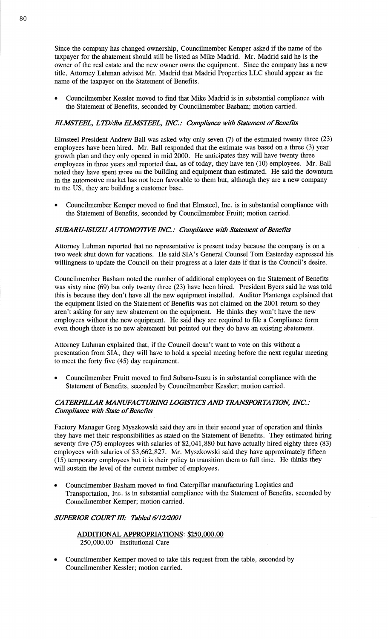**Since** the company has changed ownership, Councilmember Kemper asked if the name of the taxpayer for the abatement should still be listed as Mike Madrid. Mr. Madrid said he is the owner of the real estate and the new owner owns the equipment. Since the company has a new title, Attorney **Luhman advised** Mr. Madrid that Madrid Properties LLC should appear as the name of the taxpayer on the Statement of **Benefits.** 

**0** Councilmember Kessler moved to find **that** Mike Madrid is in substantial compliance with the Statement of Benefits, seconded by Councilmember Basham; **motion** carried.

# *ELMSTEEL, LTD/dba ELMSTEEL,* WC: *Compliance With Statement* of Benefits

Elmsteel President Andrew Ball was **asked** Why only seven (7) of the estimated twenty three (23) employees **have** been hired. Mr. Ball responded that the estimate was based on a three (3) year growth plan and they only opened in mid 2000. He anticipates they will have twenty three employees in three years and reported that, as of today, they have ten (10) employees. Mr. Ball noted they have spent more on the building and equipment than estimated. He said the downturn in the automotive market has not been favorable to **them** but, although they are a new company in the US, they are building a customer base.

**0** Councilmember Kemper **moved** to find that Elmsteel, **Inc.** is in substantial compliance with the Statement of Benefits, seconded by Councilmember Fruitt; motion carried.

#### *SUBARU-ISUZU AUTOMOTIVE INC.: Compliance with Statement of Benefits*

Attorney Luhman reported that no representative is present today because the company is on a two week shut down for vacations. He said SIA's General Counsel Tom Easterday expressed his willingness to update the Council on their progress at **a** later date if **that** is the **Council's** desire.

Councilmember **Basham** noted the number of additional employees on the Statement of Benefits was sixty **nine** (69) but only twenty three (23) have been hired. President Byers said he was told this is because they **don't** have all the new equipment installed. Auditor Plantenga explained that the equipment listed on the Statement of Benefits was not claimed on the 2001 return so they aren't asking for any new abatement on the **equipment.** He **thinks** they won't have the new employees without the new equipment. He said they are required to file **a** Compliance form even though there is no new abatement but pointed out they do have an existing abatement.

Attorney **Luhman** explained that, if the Council **doesn't** want to vote on this without **a**  presentation from **SIA,** they will have to hold a special meeting before the **next** regular meeting to meet the forty five (45) day requirement.

**0** Councilmember Pruitt moved to find Subaru-Isuzu is in substantial compliance with the Statement of Benefits, seconded by Councilmember Kessler; motion carried.

## CA *TERPILLAR AlANUFA CTIRHVG LOGISTICS* AND *TRANSPOR* TA *HON, INC.* .- *Compliance with State of Benefits*

Factory Manager Greg Myszkowski said they are in their second year of operation and thinks they have met their responsibilities as stated on the Statement of Benefits. They estimated hiring seventy five (75) employees with salaries of \$2,041,880 but **have** actually hired eighty three (83) employees with salaries of \$3,662,827. Mr. **Myszkowski** said they have approximately fifteen (15) temporary employees but it is their policy to transition them to full **time.** He thinks they will sustain the level of the current number of employees.

**0** Councilmember Basham moved to find Caterpillar manufacturing Logistics and Transportation, Inc. is in substantial compliance with the Statement of Benefits, seconded by Councilmember Kemper; motion carried.

## *SUPERIOR COURT* HI: *Tabled 6/12/2001*

**ADDITIONAL APPROPRIATIONS:** \$250,000.00 250,000.00 Institutional Care

**I** Councilmember Kemper moved to take this request from the table, seconded by Councilmember Kessler; motion carried.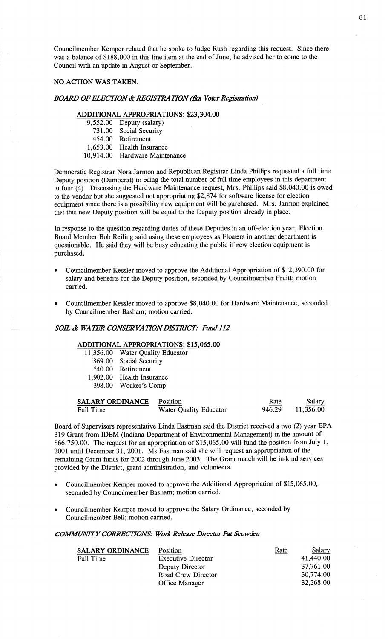Councilmember Kemper related that he **spoke** to Judge **Rush** regarding **this** request. Since there was **a** balance of \$188,000 in this line item at the end of June, he advised her to come to the Council with an update in August or September.

# NO **ACTION** WAS **TAKEN.**

#### *BOARD OF ELECTION & REGISTRATION (fka Voter Registration)*

### **ADDITIONAL APPROPRIATIONS: \$23,304.00**

9,552.00 Deputy (salary) 731.00 Social Security 454.00 Retirement 1,653.00 Health Insurance

10,914.00 Hardware Maintenance

Democratic Registrar Nora Jarmon and Republican Registrar Linda Phillips requested a full time Deputy position (Democrat) to bring the total number of full time employees in this department to four (4). **Discussing** the Hardware Maintenance request, Mrs. Phillips said \$8,040.00 is owed to the vendor but she suggested not appropriating \$2,874 for software license for election equipment since there is a possibility new equipment will be purchased. Mrs. Jarmon explained that this new Deputy position will be equal to the Deputy position already in place.

In response to the question regarding duties of these Deputies in an off—election year, Election Board Member Bob Reiling said using these employees as Floaters in another department is questionable. He said they will be busy educating the public if new election equipment is **purchased.** 

- **<sup>0</sup>**Councilmember Kessler moved to approve the Additional Appropriation of \$12,390.00 for salary and **benefits** for the Deputy position, seconded by Councilmember Fruitt; motion carried.
- **<sup>0</sup>**Councilmember Kessler moved to approve \$8,040.00 for Hardware **Maintenance,** seconded by Councilmember Basham; motion carried.

## SOE *& WATER CONSER* VA *TION DISTRICT: Fund* 112

# **ADDITIONAL APPROPRIATIONS:** \$15,065.00

- 11,356.00 Water Quality Educator
	- 869.00 Social Security
	- 540.00 Retirement
- 1,902.00 Health Insurance
	- 398.00 Worker's **Comp**

| <b>SALARY ORDINANCE</b> Position |                        | Rate   | Salary    |
|----------------------------------|------------------------|--------|-----------|
| Full Time                        | Water Quality Educator | 946.29 | 11,356.00 |

Board of Supervisors representative Linda Eastman said the District received **a** two (2) year EPA 319 Grant from IDEM (Indiana Department of Environmental Management) in the amount of \$66,750.00. The request for an appropriation of \$15,065.00 will fund the position from July 1, 2001 until December 31, 2001. Ms Eastman said she Will request an appropriation of the remaining Grant **funds** for 2002 through June 2003. The Grant **match** will be **in—kind** services provided by the District, grant administration, and volunteers.

- Councilmember Kemper moved to approve the Additional Appropriation of \$15,065.00, seconded by Councilmember Basham; motion carried.
- **0** Councilmember Kemper moved to approve the Salary Ordinance, seconded by Councilmember Bell; **motion** carried.

# *COWMVITY CORRECTIONS: Work Release Dimctor* Pat *Scowden*

| <b>SALARY ORDINANCE</b> | <b>Position</b>           | Rate | Salary    |
|-------------------------|---------------------------|------|-----------|
| Full Time               | <b>Executive Director</b> |      | 41,440.00 |
|                         | Deputy Director           |      | 37,761.00 |
|                         | Road Crew Director        |      | 30,774.00 |
|                         | Office Manager            |      | 32,268.00 |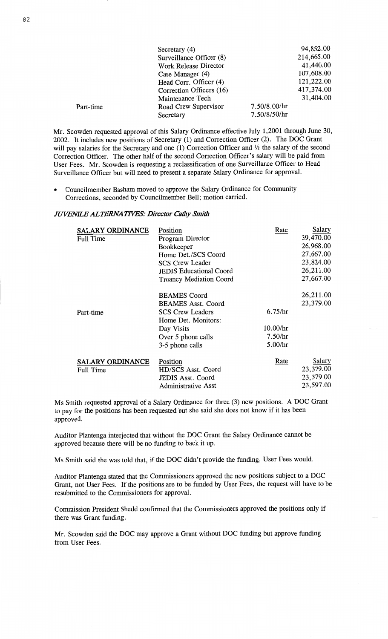|           | Secretary (4)                |              | 94,852.00  |
|-----------|------------------------------|--------------|------------|
|           | Surveillance Officer (8)     |              | 214,665.00 |
|           | <b>Work Release Director</b> |              | 41,440.00  |
|           | Case Manager (4)             |              | 107,608.00 |
|           | Head Corr. Officer (4)       |              | 121,222.00 |
|           | Correction Officers (16)     |              | 417,374.00 |
|           | Maintenance Tech             |              | 31,404.00  |
| Part-time | Road Crew Supervisor         | 7.50/8.00/hr |            |
|           | Secretary                    | 7.50/8/50/hr |            |

Mr. Scowden requested approval of **this** Salary **Ordinance** effective July 1,2001 through June 30, 2002. It includes new positions of Secretary (1) and Correction Officer **(2).** The DOC Grant will pay salaries for the Secretary and one (1) Correction Officer and <sup>1</sup>/<sub>2</sub> the salary of the second Correction Officer. The other half of the second Correction Officer's **salary** will be paid from User Fees. Mr. Scowden is requesting **a reclassification** of one Surveillance Officer to **Head**  Surveillance Officer but will need to present a separate Salary Ordinance for approval.

**0** Councilmember **Basham** moved to approve the Salary Ordinance for **Community**  Corrections, seconded by Councilmember Bell; **motion** carried.

### *JUVENEE* ALT *ERNA T IVES: Dimctor Cathy Smith*

| <b>SALARY ORDINANCE</b><br>Full Time | Position<br>Program Director<br>Bookkeeper<br>Home Det./SCS Coord<br><b>SCS Crew Leader</b><br><b>JEDIS Educational Coord</b><br>Truancy Mediation Coord  | Rate                                      | Salary<br>39,470.00<br>26,968.00<br>27,667.00<br>23,824.00<br>26,211.00<br>27,667.00 |
|--------------------------------------|-----------------------------------------------------------------------------------------------------------------------------------------------------------|-------------------------------------------|--------------------------------------------------------------------------------------|
| Part-time                            | <b>BEAMES</b> Coord<br><b>BEAMES Asst. Coord</b><br><b>SCS Crew Leaders</b><br>Home Det. Monitors:<br>Day Visits<br>Over 5 phone calls<br>3-5 phone calls | 6.75/hr<br>10.00/hr<br>7.50/hr<br>5.00/hr | 26,211.00<br>23,379.00                                                               |
| <b>SALARY ORDINANCE</b><br>Full Time | Position<br>HD/SCS Asst. Coord<br><b>JEDIS Asst. Coord</b><br>Administrative Asst                                                                         | Rate                                      | Salary<br>23,379.00<br>23,379.00<br>23,597.00                                        |

Ms **Smith** requested approval of **a** Salary Ordinance for three (3) new positions. **A** DOC Grant to pay for the **positions** has been **requested** but she **said** she **does** not lmow if it has been approved.

**Auditor** Plantenga interjected that without the DOC Grant the Salary **Ordinance cannot** be approved because **there** will be no funding to back it up.

Ms **Smith** said she was told **that,** if the DOC didn't provide the **funding,** User Fees would.

**Auditor** Plantenga stated that the Commissioners approved the new positions **subject** to a DOC Grant, not User Fees. If the **positions** are to be **funded** by User **Fees,** the request will **have** to be resubmitted to the **Commissioners** for approval.

**Commission** President Shedd confirmed that the Commissioners approved the positions only if **there** was Grant **funding.** 

Mr. Scowden said the DOC may approve a **Grant** without DOC **funding** but **approve funding**  from User Fees.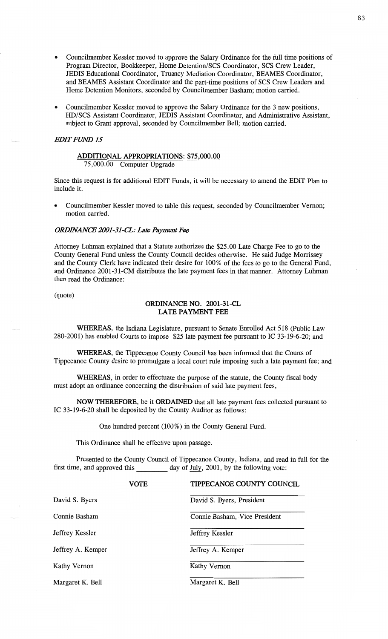- **0** Councilmember Kessler moved to approve the Salary **Ordinance** for the full time **positions** of Program Director, Bookkeeper, Home Detention/SCS Coordinator, SCS Crew Leader, JEDIS Educational **Coordinator,** Truancy Mediation Coordinator, BEAMES Coordinator, and BEAMES Assistant **Coordinator** and the part-time positions of SCS Crew Leaders and **Home** Detention Monitors, seconded by Councilmember **Basham;** motion carried.
- **<sup>0</sup>**Councilmember Kessler moved to approve the Salary **Ordinance** for the 3 new **positions, HD/SCS** Assistant **Coordinator,** JEDIS **Assistant Coordinator,** and **Administrative Assistant,**  subject to Grant approval, seconded by Councilmember Bell; motion carried.

## **EDIT FUND 15**

# **ADDITIONAL APPROPRIATIONS: \$75,000.00**

75,000.00 Computer Upgrade

Since this request is for additional **EDIT** Funds, it will be **necessary** to **amend** the EDIT **Plan** to include it.

**o Councilmember** Kessler **moved** to table this request, seconded by **Councilmember Vernon; motion** carried.

#### *0RDBVANCE 2001-31-CL: Late Payment* Fee

Attorney Luhman explained that a **Statute** authorizes the \$25.00 Late Charge Fee to go to the County General Fund unless the County Council decides otherwise. He said Judge Morrissey and the County Clerk have indicated their desire for 100% of the fees to go to the General Fund, and **Ordinance** 2001-31-CM distributes the late payment fees in that **manner. Attorney Luhman**  then **read** the Ordinance:

# (quote) **ORDINANCE** NO. **2001-31-CL LATE PAYMENT** FEE

**WHEREAS,** the Indiana **Legislature,** pursuant to Senate Enrolled Act 518 (Public Law 280—2001) has enabled Courts to **impose** \$25 late payment fee pursuant to IC 33-19-6-20; and

**WHEREAS**, the Tippecanoe County Council has been informed that the Courts of **Tippecanoe County** desire to promulgate **a** local court rule **imposing** such a late payment **fee;** and

**WHEREAS,** in order to effectuate the purpose of the statute, the County fiscal body **must** adopt an **ordinance** concerning the distribution of said late payment fees,

NOW **THEREFORE,** be it **ORDAINED that** all late payment **fees** collected **pursuant** to IC 33—19-6-20 shall be deposited by the County Auditor as follows:

One **hundred** percent (100%) in the County General Fund.

**This** Ordinance **shall** be effective **upon** passage.

Presented to the County **Council** of **Tippecanoe** County, **Indiana,** and read in full for the first time, and approved this \_\_\_\_\_\_\_\_\_\_ day of July, 2001, by the following vote:

|                   | <b>VOTE</b> | TIPPECANOE COUNTY COUNCIL     |
|-------------------|-------------|-------------------------------|
| David S. Byers    |             | David S. Byers, President     |
| Connie Basham     |             | Connie Basham, Vice President |
| Jeffrey Kessler   |             | Jeffrey Kessler               |
| Jeffrey A. Kemper |             | Jeffrey A. Kemper             |
| Kathy Vernon      |             | Kathy Vernon                  |
| Margaret K. Bell  |             | Margaret K. Bell              |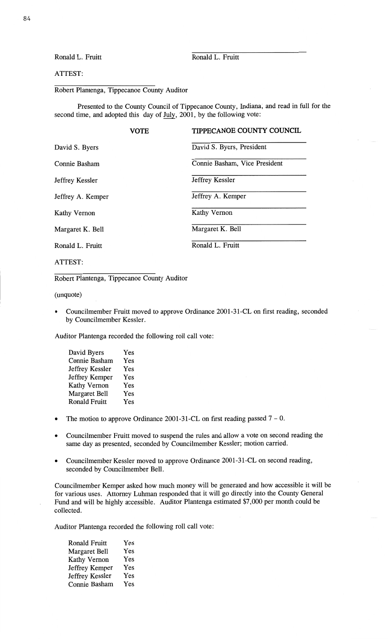# **Ronald** L. Fruitt **Ronald** L. **Fruitt**

# **ATTEST:**

# Robert Plantenga, Tippecanoe County Auditor

Presented to the County Council of Tippecanoe County, Indiana; and **read** in full for the second time, and adopted this day of July, 2001, by the following vote:

|                     | <b>VOTE</b> | <b>TIPPECANOE COUNTY COUNCIL</b> |
|---------------------|-------------|----------------------------------|
| David S. Byers      |             | David S. Byers, President        |
| Connie Basham       |             | Connie Basham, Vice President    |
| Jeffrey Kessler     |             | Jeffrey Kessler                  |
| Jeffrey A. Kemper   |             | Jeffrey A. Kemper                |
| <b>Kathy Vernon</b> |             | <b>Kathy Vernon</b>              |
| Margaret K. Bell    |             | Margaret K. Bell                 |
| Ronald L. Fruitt    |             | Ronald L. Fruitt                 |
|                     |             |                                  |

ATTEST:

Robert Plantenga, **Tippecanoe** County **Auditor** 

**(unquote)** 

**0** Councilmember Fruitt moved to approve Ordinance 2001-31-CL on **first** reading, seconded by Councilmember Kessler.

**Auditor** Plantenga recorded the following roll call vote:

| David Byers          | Yes |
|----------------------|-----|
| Connie Basham        | Yes |
| Jeffrey Kessler      | Yes |
| Jeffrey Kemper       | Yes |
| <b>Kathy Vernon</b>  | Yes |
| <b>Margaret Bell</b> | Yes |
| <b>Ronald Fruitt</b> | Yes |

- **<sup>0</sup>**The **motion** to approve Ordinance 2001-31-CL on first reading passed **7**  0.
- **o** Councilmember Fruitt moved to suspend the rules and allow **a** vote on second reading the same day as presented, seconded by Councilmember Kessler; **motion** carried.
- **0 Councilmember** Kessler moved to approve Ordinance 2001-31-CL on second reading, seconded by Councilmember **Bell.**

Councilmember Kemper **asked** how much money will be generated and how accessible it will be for various uses. Attorney Luhman responded **that** it **Will** go directly **into** the County General Fund and will be highly **accessible.** Auditor Plantenga estimated \$7,000 per **month** could be collected.

Auditor Plantenga recorded the following roll call vote:

**Ronald** Fruitt Yes Margaret Bell Yes Kathy Vernon Yes Jeffrey Kemper Yes Jeffrey Kessler Yes **Connie Basham** Yes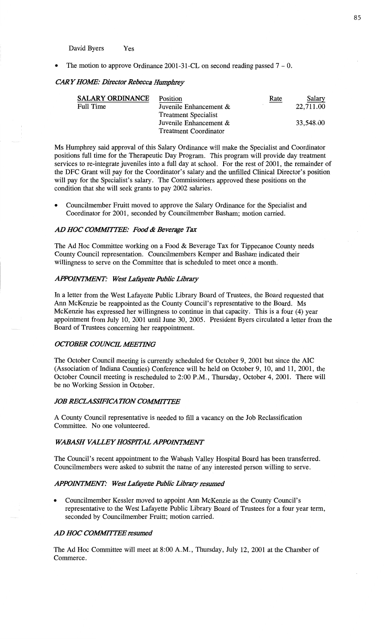David Byers Yes

*<sup>0</sup>*The **motion** to approve Ordinance 2001-31-CL on **second reading passed** 7 - 0.

#### *CARYHOAE': Dimctor Rebecca Humphrey*

| <b>SALARY ORDINANCE</b> | Position                     | Rate | Salary    |
|-------------------------|------------------------------|------|-----------|
| Full Time               | Juvenile Enhancement &       |      | 22,711.00 |
|                         | <b>Treatment Specialist</b>  |      |           |
|                         | Juvenile Enhancement &       |      | 33,548.00 |
|                         | <b>Treatment Coordinator</b> |      |           |

Ms Humphrey **said** approval of **this** Salary Ordinance will **make** the Specialist and **Coordinator**  positions full time for the **Therapeutic** Day Program. **This** program will provide day treatment services to re-integrate juveniles **into** a full day at **school.** For the rest of 2001, the remainder of the DFC Grant will pay for the Coordinator's salary and the **unfilled** Clinical Director's position will pay for the Specialist's salary. The **Commissioners** approved these positions on the condition that she will seek grants to pay 2002 salaries.

**0 Councilmember** Fruitt moved to approve the Salary Ordinance for the Specialist and **Coordinator** for 2001, seconded by Councilmember **Basham; motion** carried.

## AD HOC *COWTZFE: Food & Revenge T* ax

The Ad Hoc Committee working on **a** Food & Beverage Tax for Tippecanoe County needs County Council representation. **Councilmembers** Kemper and **Basham** indicated their willingness to serve on the Committee that is scheduled to meet once **a** month.

#### *APPOMWVT: West* Lafiyctte *Public Libmzy*

In **a** letter from the West Lafayette Public Library Board of Trustees, the Board requested **that**  Ann McKenzie be reappointed as the County **Council's representative** to the Board. Ms McKenzie has expressed her willingness to continue in **that** capacity. **This** is a four (4) year appointment from July 10, 2001 **until** June 30, 2005. President Byers circulated a letter from the Board of Trustees concerning her reappointment.

#### *OCTOBER COUNCIL MEETING*

The October Council meeting is currently scheduled for October 9, 2001 but **since** the AIC (Association of **Indiana Counties)** Conference will be **held** on **October** 9, 10, and 11, 2001, the October Council meeting is rescheduled to 2:00 **P.M.,** Thursday, October 4, 2001. There will be no Working Session in October.

#### **JOB RECLASSIFICATION COMMITTEE**

**<sup>A</sup>**County Council representative is needed to fill **a** vacancy on the Job Reclassification **Committee.** No one **volunteered.** 

## *WABASH VALLEY HOSPITAL APPOINTMENT*

The Council's recent appointment to the Wabash Valley **Hospital** Board has been transferred. Councilmembers were asked to **submit** the name of any interested person willing to serve.

#### *APPOHVTJWENT: West* Wyeth: *Public Libzmy tamed*

**o** Councilmember Kessler moved to appoint Ann McKenzie as the **County** Council's representative to the West Lafayette Public Library Board of **Trustees** for **a** four year **term,**  seconded by Councilmember Fruitt; motion carried.

### AD HOC *COMMITTEE zesumed*

The Ad Hoc Committee will meet at 8:00 **A.M.,** Thursday, July 12, 2001 at the Chamber of **Commerce.**